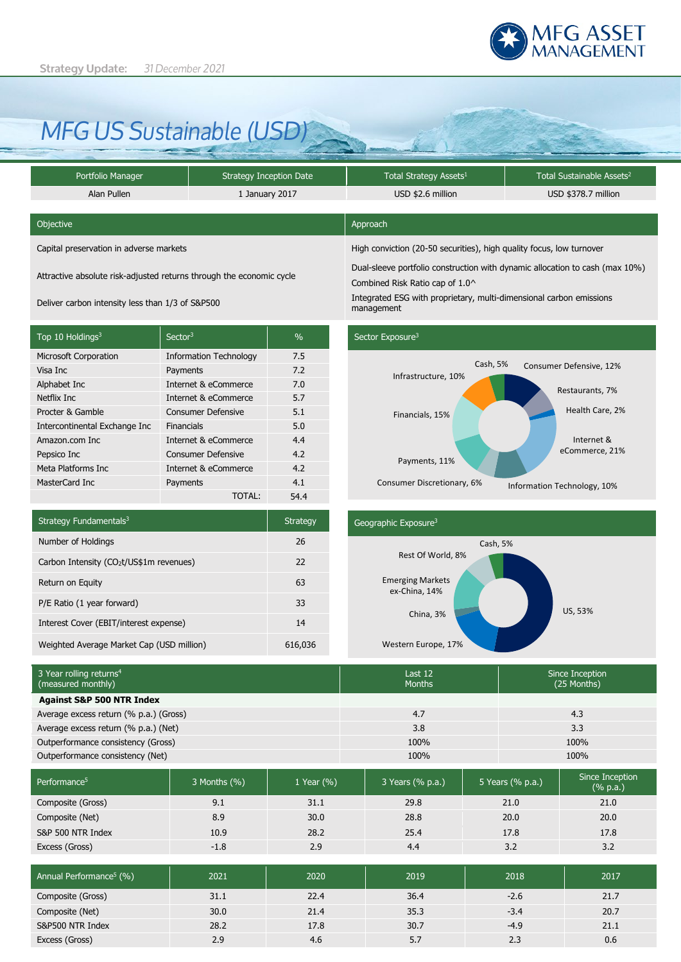

# *MFG US Sustainable (USD)*

| Portfolio Manager |             | <b>Strategy Inception Date</b> | Total Strategy Assets <sup>1</sup> | Total Sustainable Assets <sup>2</sup> |  |  |
|-------------------|-------------|--------------------------------|------------------------------------|---------------------------------------|--|--|
|                   | Alan Pullen | 1 January 2017                 | USD \$2.6 million                  | USD \$378.7 million                   |  |  |

| <b>Objective</b>                        | Approach                                                                      |
|-----------------------------------------|-------------------------------------------------------------------------------|
| Capital preservation in adverse markets | High conviction (20-50 securities), high quality focus, low turnover          |
|                                         | Dual cleave notfolio construction with dimensional continuute cash (may 100/) |

Attractive absolute risk-adjusted returns through the economic cycle

| Top 10 Holdings <sup>3</sup>  | Sector <sup>3</sup>           | $\%$ |
|-------------------------------|-------------------------------|------|
| <b>Microsoft Corporation</b>  | <b>Information Technology</b> | 7.5  |
| Visa Inc                      | Payments                      | 7.2  |
| Alphabet Inc                  | Internet & eCommerce          | 7.0  |
| Netflix Inc                   | Internet & eCommerce          | 5.7  |
| Procter & Gamble              | <b>Consumer Defensive</b>     | 5.1  |
| Intercontinental Exchange Inc | Financials                    | 5.0  |
| Amazon.com Inc.               | Internet & eCommerce          | 4.4  |
| Pepsico Inc                   | <b>Consumer Defensive</b>     | 4.2  |
| Meta Platforms Inc            | Internet & eCommerce          | 4.2  |
| MasterCard Inc                | Payments                      | 4.1  |
|                               | TOTAL:                        | 54.4 |

Dual-sleeve portfolio construction with dynamic allocation to cash (max 10%)

Combined Risk Ratio cap of 1.0^

Deliver carbon intensity less than 1/3 of S&P500 Integrated ESG with proprietary, multi-dimensional carbon emissions management



| Strategy Fundamentals <sup>3</sup>                   | <b>Strategy</b> |
|------------------------------------------------------|-----------------|
| Number of Holdings                                   | 26              |
| Carbon Intensity (CO <sub>2</sub> t/US\$1m revenues) | 22              |
| Return on Equity                                     | 63              |
| P/E Ratio (1 year forward)                           | 33              |
| Interest Cover (EBIT/interest expense)               | 14              |
| Weighted Average Market Cap (USD million)            | 616,036         |

## Geographic Exposure3 US, 53% Western Europe, 17% China, 3% Emerging Markets ex-China, 14% Rest Of World, 8% Cash, 5%

| 3 Year rolling returns <sup>4</sup><br>(measured monthly) |                |                | Last 12<br><b>Months</b> |  |                  | Since Inception<br>(25 Months)               |
|-----------------------------------------------------------|----------------|----------------|--------------------------|--|------------------|----------------------------------------------|
| <b>Against S&amp;P 500 NTR Index</b>                      |                |                |                          |  |                  |                                              |
| Average excess return (% p.a.) (Gross)                    |                |                | 4.7                      |  |                  | 4.3                                          |
| Average excess return (% p.a.) (Net)                      |                |                | 3.8                      |  |                  | 3.3                                          |
| Outperformance consistency (Gross)                        |                |                | 100%                     |  | 100%             |                                              |
| Outperformance consistency (Net)                          |                |                | 100%                     |  |                  | 100%                                         |
|                                                           |                |                |                          |  |                  |                                              |
| Performance <sup>5</sup>                                  | 3 Months (%)   | 1 Year $(\% )$ | 3 Years (% p.a.)         |  | 5 Years (% p.a.) | Since Inception<br>$(% \mathbf{a})$ (% p.a.) |
| Composite (Gross)                                         | Q <sub>1</sub> | 311            | 29 R                     |  | 21 Q             | 21 <sub>0</sub>                              |

| Composite (Gross)                   | 9.1    | 31.1 | 29.8 | 21.0   | 21.0 |
|-------------------------------------|--------|------|------|--------|------|
| Composite (Net)                     | 8.9    | 30.0 | 28.8 | 20.0   | 20.0 |
| S&P 500 NTR Index                   | 10.9   | 28.2 | 25.4 | 17.8   | 17.8 |
| Excess (Gross)                      | $-1.8$ | 2.9  | 4.4  | 3.2    | 3.2  |
|                                     |        |      |      |        |      |
| Annual Performance <sup>5</sup> (%) | 2021   | 2020 | 2019 | 2018   | 2017 |
| Composite (Gross)                   | 31.1   | 22.4 | 36.4 | $-2.6$ | 21.7 |
| Composite (Net)                     | 30.0   | 21.4 | 35.3 | $-3.4$ | 20.7 |

S&P500 NTR Index 28.2 28.2 17.8 30.7 4.9 4.9 21.1 Excess (Gross) 2.9 4.6 5.7 2.3 0.6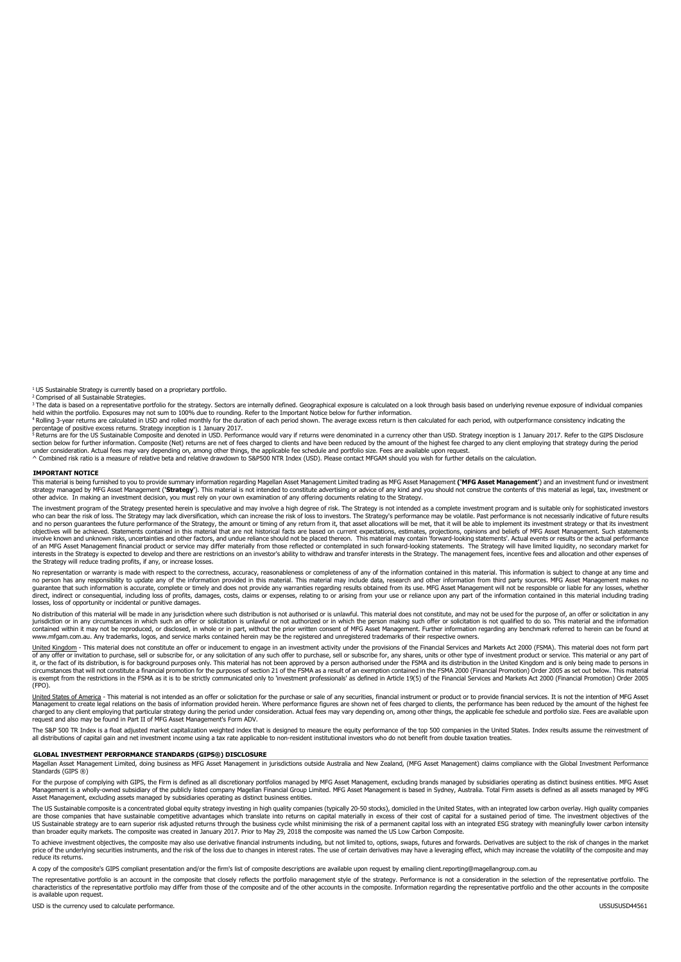$1$  US Sustainable Strategy is currently based on a proprietary portfolio.<br><sup>2</sup> Comprised of all Sustainable Strategies.

- complicion a miscularism contention of the strategy. Sectors are internally defined. Geographical exposure is calculated on a look through basis based on underlying revenue exposure of individual companies held within the portfolio. Exposures may not sum to 100% due to rounding. Refer to the Important Notice below for further information.<br>And within the portfolio. Exposures may not sum to 100% due to rounding. Refer to the I

percentage of positive excess returns. Strategy inception is 1 January 2017.<br><sup>5</sup> Returns are for the US Sustainable Composite and denoted in USD. Performance would vary if returns were denominated in a currency other than section below for further information. Composite (Net) returns are net of fees charged to clients and have been reduced by the amount of the highest fee charged to any client employing that strategy during the period

under consideration. Actual fees may vary depending on, among other things, the applicable fee schedule and portfolio size. Fees are available upon request.<br>^ Combined risk ratio is a measure of relative beta and relative

#### **IMPORTANT NOTICE**

This material is being furnished to you to provide summary information regarding Magellan Asset Management Limited trading as MFG Asset Management **('MFG Asset Management'**) and an investment fund or investment strategy managed by MFG Asset Management (**'Strategy'**). This material is not intended to constitute advertising or advice of any kind and you should not construe the contents of this material as legal, tax, investment or<br>

The investment program of the Strategy presented herein is speculative and may involve a high degree of risk. The Strategy is not intended as a complete investment program and is suitable only for sophisticated investors who can bear the risk of loss. The Strategy may lack diversification, which can increase the risk of loss to investors. The Strategy's performance may be volatile. Past performance is not necessarily indicative of future r objectives will be achieved. Statements contained in this material that are not historical facts are based on current expectations, estimates, projections, opinions and beliefs of MFG Asset Management. Such statements'<br>inv of an MFG Asset Management financial product or service may differ materially from those reflected or contemplated in such forward-looking statements. The Strategy will have limited liquidity, no secondary market for<br>inter Interests in the Strategy is expected to develop and there are rest<br>the Strategy will reduce trading profits, if any, or increase losses.

No representation or warranty is made with respect to the correctness, accuracy, reasonableness or completeness of any of the information contained in this material. This information is subject to change at any time and on losses, loss of opportunity or incidental or punitive damages.

No distribution of this material will be made in any jurisdiction where such distribution is not authorised or is unlawful. This material does not constitute, and may not be used for the purpose of, an offer or solicitatio www.mfgam.com.au. Any trademarks, logos, and service marks contained herein may be the registered and unregistered trademarks of their respective owners.

United Kingdom - This material does not constitute an offer or inducement to engage in an investment activity under the provisions of the Financial Services and Markets Act 2000 (FSMA). This material does not form part of any offer or invitation to purchase, sell or subscribe for, or any solicitation of any such offer to purchase, sell or subscribe for, any shares, units or other type of investment product or service. This material or an (FPO).

United States of America - This material is not intended as an offer or solicitation for the purchase or sale of any securities, financial instrument or product or to provide financial services. It is not the intention of Management to create legal relations on the basis of information provided herein. Where performance figures are shown net of fees charged to clients, the performance has been reduced by the amount of the highest fee<br>charge request and also may be found in Part II of MFG Asset Management's Form ADV.

The S&P 500 TR Index is a float adjusted market capitalization weighted index that is designed to measure the equity performance of the top 500 companies in the United States. Index results assume the reinvestment of<br>all d

#### **GLOBAL INVESTMENT PERFORMANCE STANDARDS (GIPS®) DISCLOSURE**

Magellan Asset Management Limited, doing business as MFG Asset Management in jurisdictions outside Australia and New Zealand, (MFG Asset Management) claims compliance with the Global Investment Performance<br>Standards (GIPS

For the purpose of complying with GIPS, the Firm is defined as all discretionary portfolios managed by MFG Asset Management, excluding brands managed by subsidiaries operating as distinct business entities. MFG Asset<br>Manag

The US Sustainable composite is a concentrated global equity strategy investing in high quality companies (typically 20-50 stocks), domiciled in the United States, with an integrated low carbon overlay. High quality compan are those companies that have sustainable competitive advantages which translate into returns on capital materially in excess of their cost of capital for a sustained period of time. The investment objectives of the<br>US Sus

To achieve investment objectives, the composite may also use derivative financial instruments including, but not limited to, options, swaps, futures and forwards. Derivatives are subject to the risk of changes in the marke reduce its returns.

A copy of the composite's GIPS compliant presentation and/or the firm's list of composite descriptions are available upon request by emailing client.reporting@magellangroup.com.au

The representative portfolio is an account in the composite that closely reflects the portfolio management style of the strategy. Performance is not a consideration in the selection of the representative portfolio. The<br>cha is available upon request.